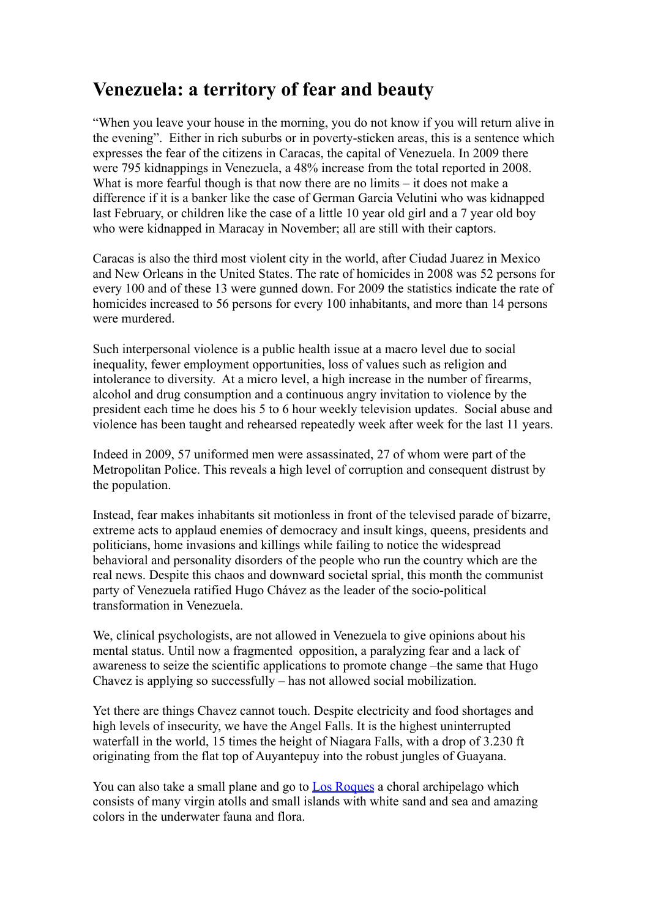## **Venezuela: a territory of fear and beauty**

"When you leave your house in the morning, you do not know if you will return alive in the evening". Either in rich suburbs or in poverty-sticken areas, this is a sentence which expresses the fear of the citizens in Caracas, the capital of Venezuela. In 2009 there were 795 kidnappings in Venezuela, a 48% increase from the total reported in 2008. What is more fearful though is that now there are no limits – it does not make a difference if it is a banker like the case of German Garcia Velutini who was kidnapped last February, or children like the case of a little 10 year old girl and a 7 year old boy who were kidnapped in Maracay in November; all are still with their captors.

Caracas is also the third most violent city in the world, after Ciudad Juarez in Mexico and New Orleans in the United States. The rate of homicides in 2008 was 52 persons for every 100 and of these 13 were gunned down. For 2009 the statistics indicate the rate of homicides increased to 56 persons for every 100 inhabitants, and more than 14 persons were murdered.

Such interpersonal violence is a public health issue at a macro level due to social inequality, fewer employment opportunities, loss of values such as religion and intolerance to diversity. At a micro level, a high increase in the number of firearms, alcohol and drug consumption and a continuous angry invitation to violence by the president each time he does his 5 to 6 hour weekly television updates. Social abuse and violence has been taught and rehearsed repeatedly week after week for the last 11 years.

Indeed in 2009, 57 uniformed men were assassinated, 27 of whom were part of the Metropolitan Police. This reveals a high level of corruption and consequent distrust by the population.

Instead, fear makes inhabitants sit motionless in front of the televised parade of bizarre, extreme acts to applaud enemies of democracy and insult kings, queens, presidents and politicians, home invasions and killings while failing to notice the widespread behavioral and personality disorders of the people who run the country which are the real news. Despite this chaos and downward societal sprial, this month the communist party of Venezuela ratified Hugo Chávez as the leader of the socio-political transformation in Venezuela.

We, clinical psychologists, are not allowed in Venezuela to give opinions about his mental status. Until now a fragmented opposition, a paralyzing fear and a lack of awareness to seize the scientific applications to promote change –the same that Hugo Chavez is applying so successfully – has not allowed social mobilization.

Yet there are things Chavez cannot touch. Despite electricity and food shortages and high levels of insecurity, we have the Angel Falls. It is the highest uninterrupted waterfall in the world, 15 times the height of Niagara Falls, with a drop of 3.230 ft originating from the flat top of Auyantepuy into the robust jungles of Guayana.

You can also take a small plane and go to [Los Roques](http://losroques.org/) a choral archipelago which consists of many virgin atolls and small islands with white sand and sea and amazing colors in the underwater fauna and flora.